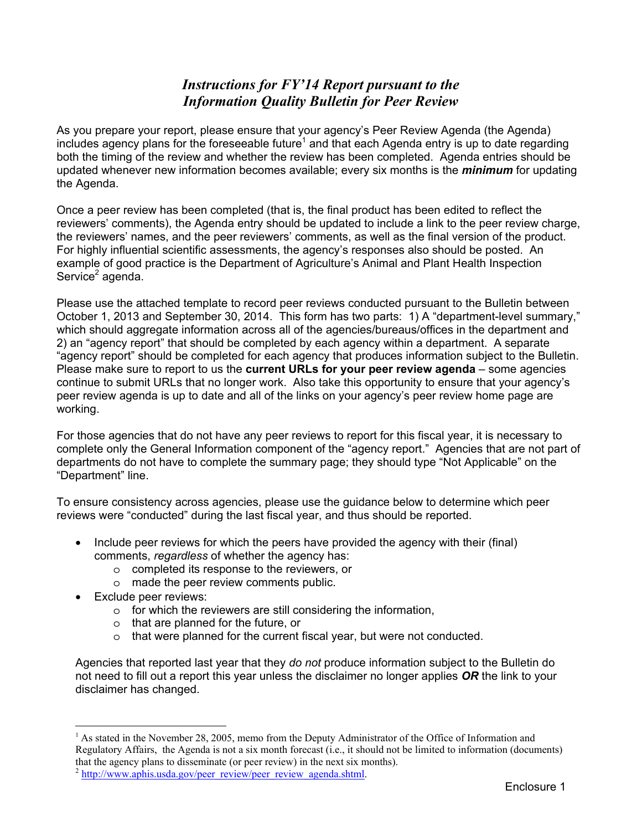# *Instructions for FY'14 Report pursuant to the Information Quality Bulletin for Peer Review*

As you prepare your report, please ensure that your agency's Peer Review Agenda (the Agenda) includes agency plans for the foreseeable future<sup>1</sup> and that each Agenda entry is up to date regarding both the timing of the review and whether the review has been completed. Agenda entries should be updated whenever new information becomes available; every six months is the *minimum* for updating the Agenda.

Once a peer review has been completed (that is, the final product has been edited to reflect the reviewers' comments), the Agenda entry should be updated to include a link to the peer review charge, the reviewers' names, and the peer reviewers' comments, as well as the final version of the product. For highly influential scientific assessments, the agency's responses also should be posted. An example of good practice is the Department of Agriculture's Animal and Plant Health Inspection Service<sup>2</sup> agenda.

Please use the attached template to record peer reviews conducted pursuant to the Bulletin between October 1, 2013 and September 30, 2014. This form has two parts: 1) A "department-level summary," which should aggregate information across all of the agencies/bureaus/offices in the department and 2) an "agency report" that should be completed by each agency within a department. A separate "agency report" should be completed for each agency that produces information subject to the Bulletin. Please make sure to report to us the **current URLs for your peer review agenda** – some agencies continue to submit URLs that no longer work. Also take this opportunity to ensure that your agency's peer review agenda is up to date and all of the links on your agency's peer review home page are working.

For those agencies that do not have any peer reviews to report for this fiscal year, it is necessary to complete only the General Information component of the "agency report." Agencies that are not part of departments do not have to complete the summary page; they should type "Not Applicable" on the "Department" line.

To ensure consistency across agencies, please use the guidance below to determine which peer reviews were "conducted" during the last fiscal year, and thus should be reported.

- Include peer reviews for which the peers have provided the agency with their (final) comments, *regardless* of whether the agency has:
	- o completed its response to the reviewers, or
	- o made the peer review comments public.
- **Exclude peer reviews:**

 $\overline{a}$ 

- o for which the reviewers are still considering the information,
- o that are planned for the future, or
- o that were planned for the current fiscal year, but were not conducted.

Agencies that reported last year that they *do not* produce information subject to the Bulletin do not need to fill out a report this year unless the disclaimer no longer applies *OR* the link to your disclaimer has changed.

<sup>&</sup>lt;sup>1</sup> As stated in the November 28, 2005, memo from the Deputy Administrator of the Office of Information and Regulatory Affairs, the Agenda is not a six month forecast (i.e., it should not be limited to information (documents) that the agency plans to disseminate (or peer review) in the next six months).

 $^{2}$  http://www.aphis.usda.gov/peer\_review/peer\_review\_agenda.shtml.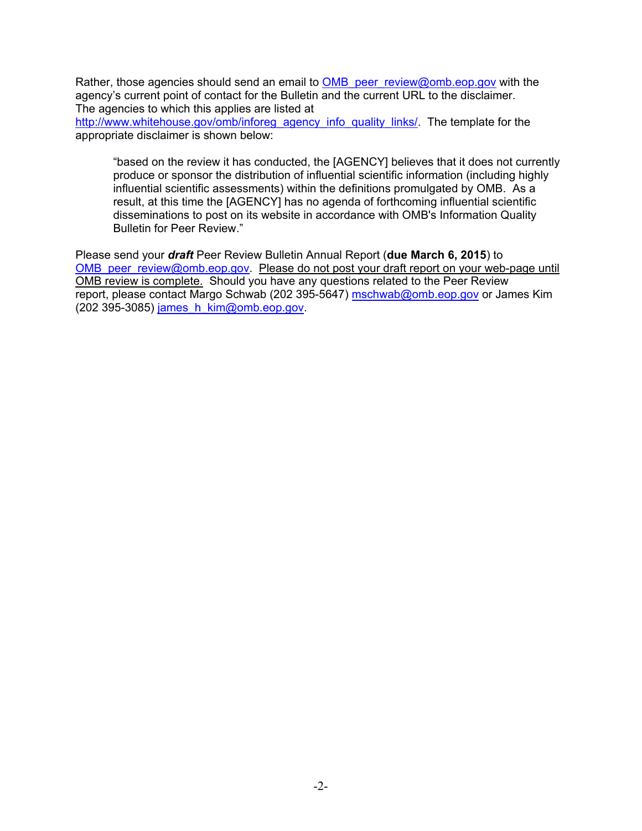Rather, those agencies should send an email to OMB peer review@omb.eop.gov with the agency's current point of contact for the Bulletin and the current URL to the disclaimer. The agencies to which this applies are listed at

http://www.whitehouse.gov/omb/inforeg\_agency\_info\_quality\_links/. The template for the appropriate disclaimer is shown below:

"based on the review it has conducted, the [AGENCY] believes that it does not currently produce or sponsor the distribution of influential scientific information (including highly influential scientific assessments) within the definitions promulgated by OMB. As a result, at this time the [AGENCY] has no agenda of forthcoming influential scientific disseminations to post on its website in accordance with OMB's Information Quality Bulletin for Peer Review."

Please send your *draft* Peer Review Bulletin Annual Report (**due March 6, 2015**) to OMB peer review@omb.eop.gov. Please do not post your draft report on your web-page until OMB review is complete.Should you have any questions related to the Peer Review report, please contact Margo Schwab (202 395-5647) mschwab@omb.eop.gov or James Kim (202 395-3085) james  $h$  kim@omb.eop.gov.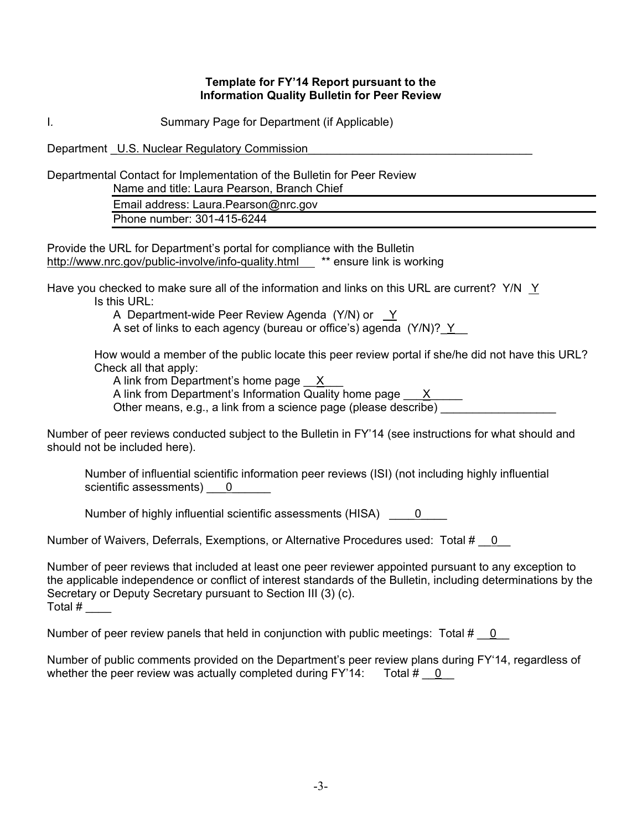#### **Template for FY'14 Report pursuant to the Information Quality Bulletin for Peer Review**

I*.* Summary Page for Department (if Applicable)

Department U.S. Nuclear Regulatory Commission

Departmental Contact for Implementation of the Bulletin for Peer Review

Name and title: Laura Pearson, Branch Chief

Email address: Laura.Pearson@nrc.gov Phone number: 301-415-6244

Provide the URL for Department's portal for compliance with the Bulletin http://www.nrc.gov/public-involve/info-quality.html \*\* ensure link is working

Have you checked to make sure all of the information and links on this URL are current? Y/N Y Is this URL:

A Department-wide Peer Review Agenda (Y/N) or Y

A set of links to each agency (bureau or office's) agenda  $(Y/N)?$   $Y$ 

How would a member of the public locate this peer review portal if she/he did not have this URL? Check all that apply:

A link from Department's home page  $X$ 

A link from Department's Information Quality home page  $\overline{X}$ 

Other means, e.g., a link from a science page (please describe) \_\_\_\_\_\_\_\_\_\_\_\_\_\_\_\_

Number of peer reviews conducted subject to the Bulletin in FY'14 (see instructions for what should and should not be included here).

Number of influential scientific information peer reviews (ISI) (not including highly influential scientific assessments)  $\qquad 0$ 

Number of highly influential scientific assessments (HISA)  $\qquad 0$ 

Number of Waivers, Deferrals, Exemptions, or Alternative Procedures used: Total #  $\;\;\;0$ 

Number of peer reviews that included at least one peer reviewer appointed pursuant to any exception to the applicable independence or conflict of interest standards of the Bulletin, including determinations by the Secretary or Deputy Secretary pursuant to Section III (3) (c). Total  $#_-$ 

Number of peer review panels that held in conjunction with public meetings: Total #  $\phantom{0}$  0

Number of public comments provided on the Department's peer review plans during FY'14, regardless of whether the peer review was actually completed during  $FY'14$ : Total  $#$  0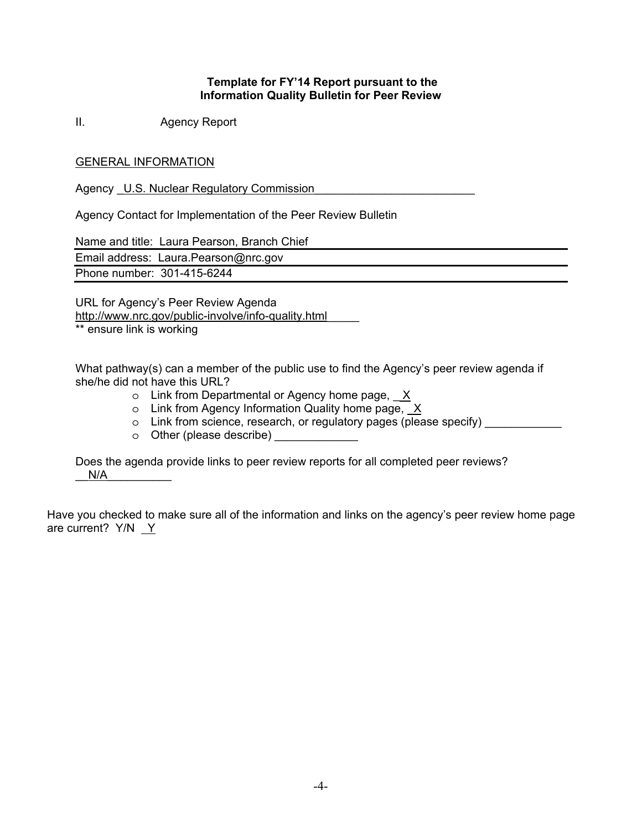### **Template for FY'14 Report pursuant to the Information Quality Bulletin for Peer Review**

II. Agency Report

## GENERAL INFORMATION

Agency U.S. Nuclear Regulatory Commission

Agency Contact for Implementation of the Peer Review Bulletin

Name and title: Laura Pearson, Branch Chief

Email address: Laura.Pearson@nrc.gov

Phone number: 301-415-6244

URL for Agency's Peer Review Agenda http://www.nrc.gov/public-involve/info-quality.html\_\_\_\_\_

\*\* ensure link is working

What pathway(s) can a member of the public use to find the Agency's peer review agenda if she/he did not have this URL?

- $\circ$  Link from Departmental or Agency home page,  $X$
- $\circ$  Link from Agency Information Quality home page,  $X$
- $\circ$  Link from science, research, or regulatory pages (please specify)
- $\circ$  Other (please describe)

Does the agenda provide links to peer review reports for all completed peer reviews?  $N/A$ 

Have you checked to make sure all of the information and links on the agency's peer review home page are current? Y/N Y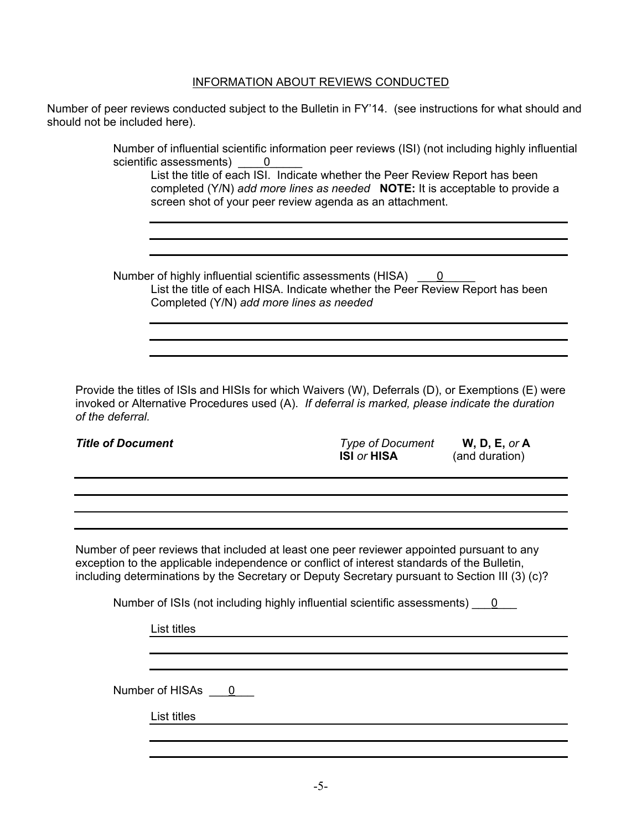## INFORMATION ABOUT REVIEWS CONDUCTED

Number of peer reviews conducted subject to the Bulletin in FY'14. (see instructions for what should and should not be included here).

> Number of influential scientific information peer reviews (ISI) (not including highly influential scientific assessments) <u>0</u>

List the title of each ISI. Indicate whether the Peer Review Report has been completed (Y/N) *add more lines as needed* **NOTE:** It is acceptable to provide a screen shot of your peer review agenda as an attachment.

Number of highly influential scientific assessments (HISA) 0 List the title of each HISA. Indicate whether the Peer Review Report has been Completed (Y/N) *add more lines as needed*

Provide the titles of ISIs and HISIs for which Waivers (W), Deferrals (D), or Exemptions (E) were invoked or Alternative Procedures used (A). *If deferral is marked, please indicate the duration of the deferral.*

*Title of Document Type of Document* **W, D, E,** *or* **A ISI** *or* **HISA** (and duration)

Number of peer reviews that included at least one peer reviewer appointed pursuant to any exception to the applicable independence or conflict of interest standards of the Bulletin, including determinations by the Secretary or Deputy Secretary pursuant to Section III (3) (c)?

Number of ISIs (not including highly influential scientific assessments)  $\qquad 0$ 

List titles

Number of HISAs \_\_\_0\_\_\_

List titles